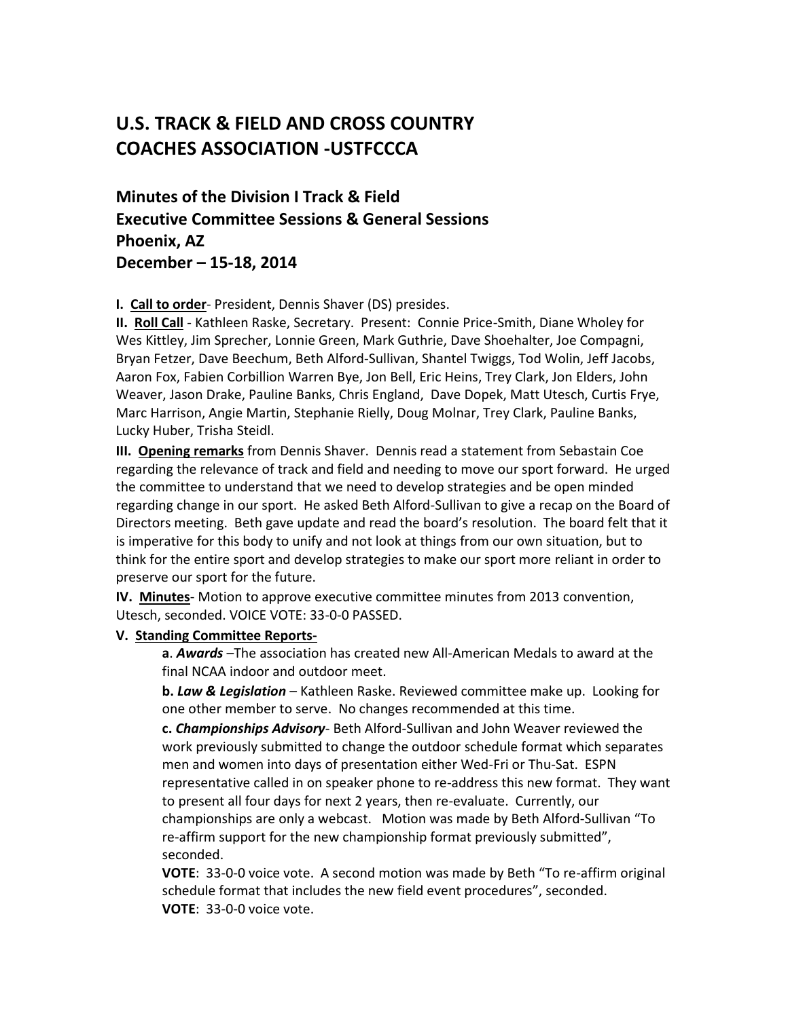# **U.S. TRACK & FIELD AND CROSS COUNTRY COACHES ASSOCIATION -USTFCCCA**

**Minutes of the Division I Track & Field Executive Committee Sessions & General Sessions Phoenix, AZ December – 15-18, 2014**

#### **I. Call to order**- President, Dennis Shaver (DS) presides.

**II. Roll Call** - Kathleen Raske, Secretary. Present: Connie Price-Smith, Diane Wholey for Wes Kittley, Jim Sprecher, Lonnie Green, Mark Guthrie, Dave Shoehalter, Joe Compagni, Bryan Fetzer, Dave Beechum, Beth Alford-Sullivan, Shantel Twiggs, Tod Wolin, Jeff Jacobs, Aaron Fox, Fabien Corbillion Warren Bye, Jon Bell, Eric Heins, Trey Clark, Jon Elders, John Weaver, Jason Drake, Pauline Banks, Chris England, Dave Dopek, Matt Utesch, Curtis Frye, Marc Harrison, Angie Martin, Stephanie Rielly, Doug Molnar, Trey Clark, Pauline Banks, Lucky Huber, Trisha Steidl.

**III. Opening remarks** from Dennis Shaver. Dennis read a statement from Sebastain Coe regarding the relevance of track and field and needing to move our sport forward. He urged the committee to understand that we need to develop strategies and be open minded regarding change in our sport. He asked Beth Alford-Sullivan to give a recap on the Board of Directors meeting. Beth gave update and read the board's resolution. The board felt that it is imperative for this body to unify and not look at things from our own situation, but to think for the entire sport and develop strategies to make our sport more reliant in order to preserve our sport for the future.

**IV. Minutes**- Motion to approve executive committee minutes from 2013 convention, Utesch, seconded. VOICE VOTE: 33-0-0 PASSED.

#### **V. Standing Committee Reports-**

**a**. *Awards* –The association has created new All-American Medals to award at the final NCAA indoor and outdoor meet.

**b.** *Law & Legislation* – Kathleen Raske. Reviewed committee make up. Looking for one other member to serve. No changes recommended at this time.

**c.** *Championships Advisory*- Beth Alford-Sullivan and John Weaver reviewed the work previously submitted to change the outdoor schedule format which separates men and women into days of presentation either Wed-Fri or Thu-Sat. ESPN representative called in on speaker phone to re-address this new format. They want to present all four days for next 2 years, then re-evaluate. Currently, our championships are only a webcast. Motion was made by Beth Alford-Sullivan "To re-affirm support for the new championship format previously submitted", seconded.

**VOTE**: 33-0-0 voice vote. A second motion was made by Beth "To re-affirm original schedule format that includes the new field event procedures", seconded. **VOTE**: 33-0-0 voice vote.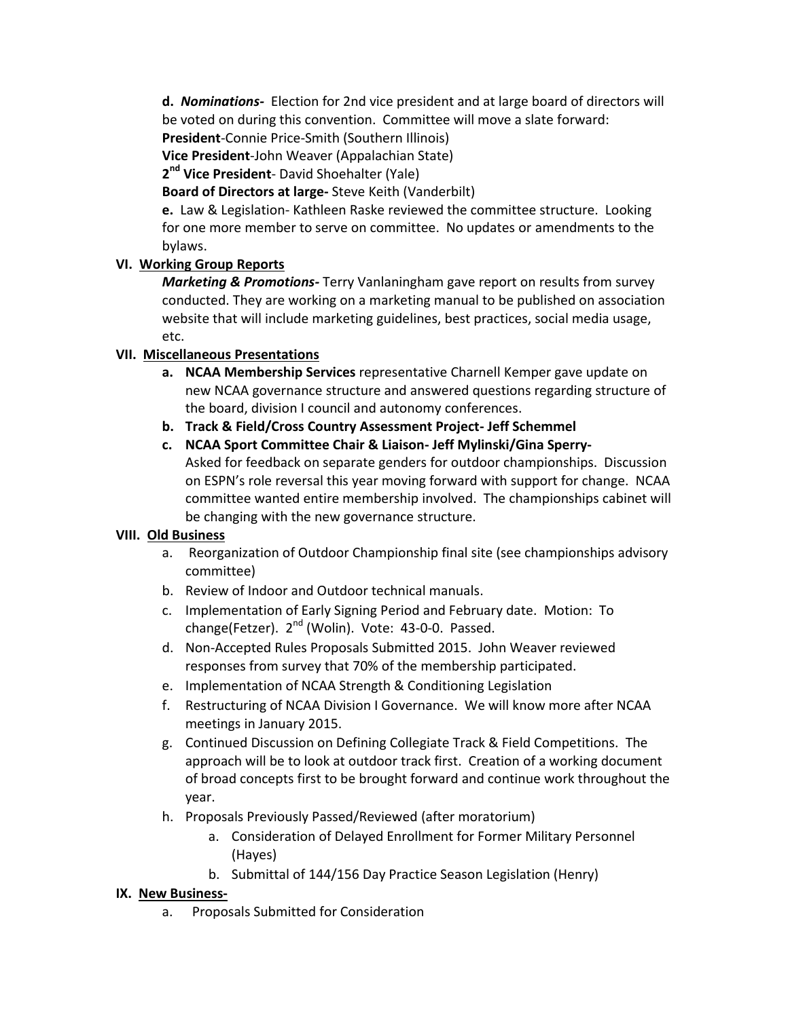**d.** *Nominations-* Election for 2nd vice president and at large board of directors will be voted on during this convention. Committee will move a slate forward:

**President**-Connie Price-Smith (Southern Illinois)

**Vice President**-John Weaver (Appalachian State)

**2 nd Vice President**- David Shoehalter (Yale)

**Board of Directors at large-** Steve Keith (Vanderbilt)

**e.** Law & Legislation- Kathleen Raske reviewed the committee structure. Looking for one more member to serve on committee. No updates or amendments to the bylaws.

# **VI. Working Group Reports**

*Marketing & Promotions-* Terry Vanlaningham gave report on results from survey conducted. They are working on a marketing manual to be published on association website that will include marketing guidelines, best practices, social media usage, etc.

# **VII. Miscellaneous Presentations**

- **a. NCAA Membership Services** representative Charnell Kemper gave update on new NCAA governance structure and answered questions regarding structure of the board, division I council and autonomy conferences.
- **b. Track & Field/Cross Country Assessment Project- Jeff Schemmel**
- **c. NCAA Sport Committee Chair & Liaison- Jeff Mylinski/Gina Sperry-**Asked for feedback on separate genders for outdoor championships. Discussion on ESPN's role reversal this year moving forward with support for change. NCAA committee wanted entire membership involved. The championships cabinet will be changing with the new governance structure.

# **VIII. Old Business**

- a. Reorganization of Outdoor Championship final site (see championships advisory committee)
- b. Review of Indoor and Outdoor technical manuals.
- c. Implementation of Early Signing Period and February date. Motion: To change(Fetzer). 2<sup>nd</sup> (Wolin). Vote: 43-0-0. Passed.
- d. Non-Accepted Rules Proposals Submitted 2015. John Weaver reviewed responses from survey that 70% of the membership participated.
- e. Implementation of NCAA Strength & Conditioning Legislation
- f. Restructuring of NCAA Division I Governance. We will know more after NCAA meetings in January 2015.
- g. Continued Discussion on Defining Collegiate Track & Field Competitions. The approach will be to look at outdoor track first. Creation of a working document of broad concepts first to be brought forward and continue work throughout the year.
- h. Proposals Previously Passed/Reviewed (after moratorium)
	- a. Consideration of Delayed Enrollment for Former Military Personnel (Hayes)
	- b. Submittal of 144/156 Day Practice Season Legislation (Henry)

# **IX. New Business-**

a. Proposals Submitted for Consideration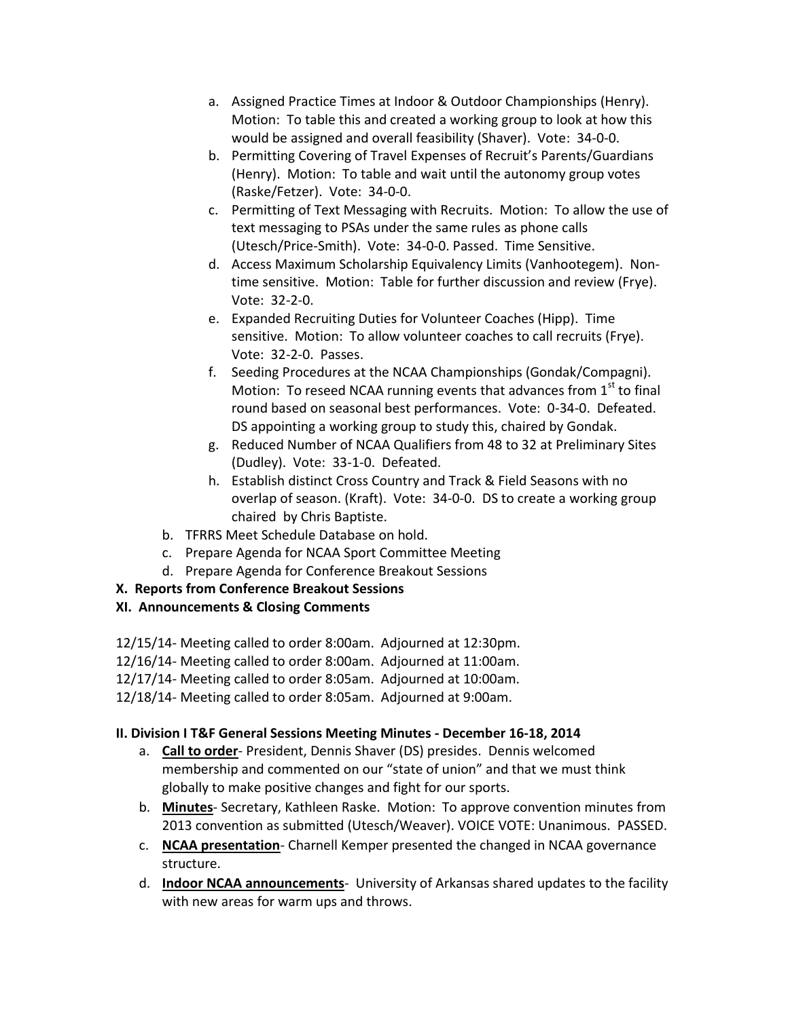- a. Assigned Practice Times at Indoor & Outdoor Championships (Henry). Motion: To table this and created a working group to look at how this would be assigned and overall feasibility (Shaver). Vote: 34-0-0.
- b. Permitting Covering of Travel Expenses of Recruit's Parents/Guardians (Henry). Motion: To table and wait until the autonomy group votes (Raske/Fetzer). Vote: 34-0-0.
- c. Permitting of Text Messaging with Recruits. Motion: To allow the use of text messaging to PSAs under the same rules as phone calls (Utesch/Price-Smith). Vote: 34-0-0. Passed. Time Sensitive.
- d. Access Maximum Scholarship Equivalency Limits (Vanhootegem). Nontime sensitive. Motion: Table for further discussion and review (Frye). Vote: 32-2-0.
- e. Expanded Recruiting Duties for Volunteer Coaches (Hipp). Time sensitive. Motion: To allow volunteer coaches to call recruits (Frye). Vote: 32-2-0. Passes.
- f. Seeding Procedures at the NCAA Championships (Gondak/Compagni). Motion: To reseed NCAA running events that advances from  $1<sup>st</sup>$  to final round based on seasonal best performances. Vote: 0-34-0. Defeated. DS appointing a working group to study this, chaired by Gondak.
- g. Reduced Number of NCAA Qualifiers from 48 to 32 at Preliminary Sites (Dudley). Vote: 33-1-0. Defeated.
- h. Establish distinct Cross Country and Track & Field Seasons with no overlap of season. (Kraft). Vote: 34-0-0. DS to create a working group chaired by Chris Baptiste.
- b. TFRRS Meet Schedule Database on hold.
- c. Prepare Agenda for NCAA Sport Committee Meeting
- d. Prepare Agenda for Conference Breakout Sessions

# **X. Reports from Conference Breakout Sessions**

# **XI. Announcements & Closing Comments**

- 12/15/14- Meeting called to order 8:00am. Adjourned at 12:30pm.
- 12/16/14- Meeting called to order 8:00am. Adjourned at 11:00am.
- 12/17/14- Meeting called to order 8:05am. Adjourned at 10:00am.
- 12/18/14- Meeting called to order 8:05am. Adjourned at 9:00am.

# **II. Division I T&F General Sessions Meeting Minutes - December 16-18, 2014**

- a. **Call to order** President, Dennis Shaver (DS) presides. Dennis welcomed membership and commented on our "state of union" and that we must think globally to make positive changes and fight for our sports.
- b. **Minutes** Secretary, Kathleen Raske. Motion: To approve convention minutes from 2013 convention as submitted (Utesch/Weaver). VOICE VOTE: Unanimous. PASSED.
- c. **NCAA presentation** Charnell Kemper presented the changed in NCAA governance structure.
- d. **Indoor NCAA announcements** University of Arkansas shared updates to the facility with new areas for warm ups and throws.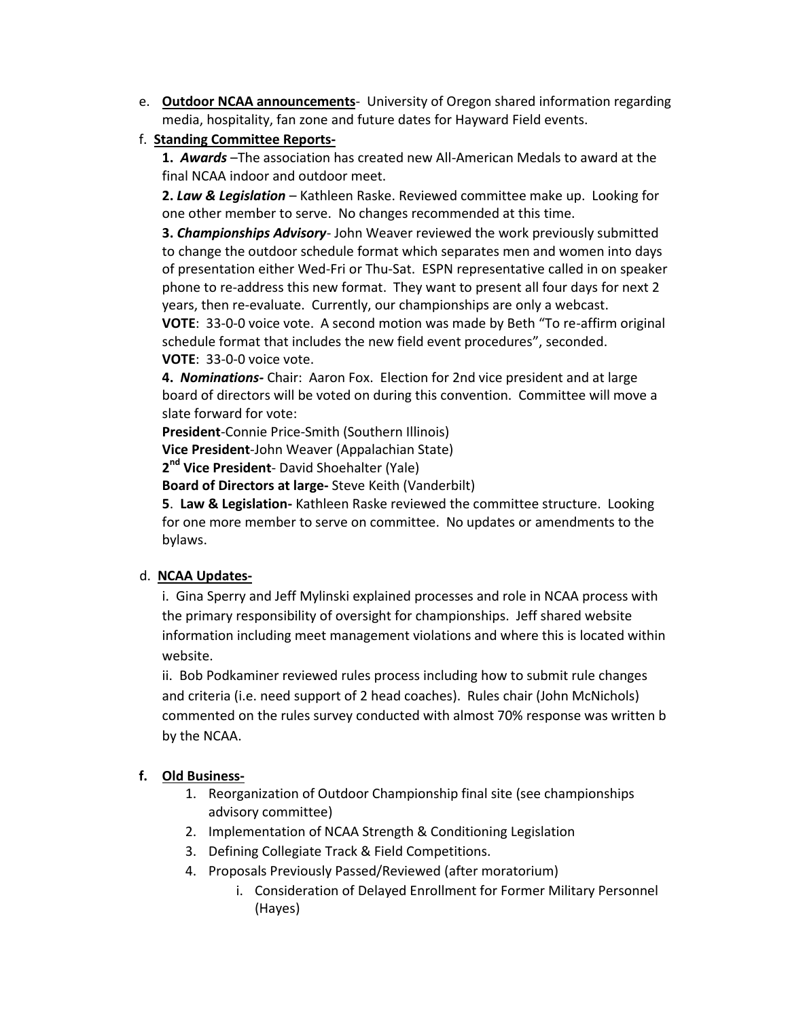- e. **Outdoor NCAA announcements** University of Oregon shared information regarding media, hospitality, fan zone and future dates for Hayward Field events.
- f. **Standing Committee Reports-**

**1.** *Awards* –The association has created new All-American Medals to award at the final NCAA indoor and outdoor meet.

**2.** *Law & Legislation* – Kathleen Raske. Reviewed committee make up. Looking for one other member to serve. No changes recommended at this time.

**3.** *Championships Advisory*- John Weaver reviewed the work previously submitted to change the outdoor schedule format which separates men and women into days of presentation either Wed-Fri or Thu-Sat. ESPN representative called in on speaker phone to re-address this new format. They want to present all four days for next 2 years, then re-evaluate. Currently, our championships are only a webcast.

**VOTE**: 33-0-0 voice vote. A second motion was made by Beth "To re-affirm original schedule format that includes the new field event procedures", seconded. **VOTE**: 33-0-0 voice vote.

**4.** *Nominations-* Chair: Aaron Fox. Election for 2nd vice president and at large board of directors will be voted on during this convention. Committee will move a slate forward for vote:

**President**-Connie Price-Smith (Southern Illinois)

**Vice President**-John Weaver (Appalachian State)

**2 nd Vice President**- David Shoehalter (Yale)

**Board of Directors at large-** Steve Keith (Vanderbilt)

**5**. **Law & Legislation-** Kathleen Raske reviewed the committee structure. Looking for one more member to serve on committee. No updates or amendments to the bylaws.

# d. **NCAA Updates-**

i. Gina Sperry and Jeff Mylinski explained processes and role in NCAA process with the primary responsibility of oversight for championships. Jeff shared website information including meet management violations and where this is located within website.

ii. Bob Podkaminer reviewed rules process including how to submit rule changes and criteria (i.e. need support of 2 head coaches). Rules chair (John McNichols) commented on the rules survey conducted with almost 70% response was written b by the NCAA.

# **f. Old Business-**

- 1. Reorganization of Outdoor Championship final site (see championships advisory committee)
- 2. Implementation of NCAA Strength & Conditioning Legislation
- 3. Defining Collegiate Track & Field Competitions.
- 4. Proposals Previously Passed/Reviewed (after moratorium)
	- i. Consideration of Delayed Enrollment for Former Military Personnel (Hayes)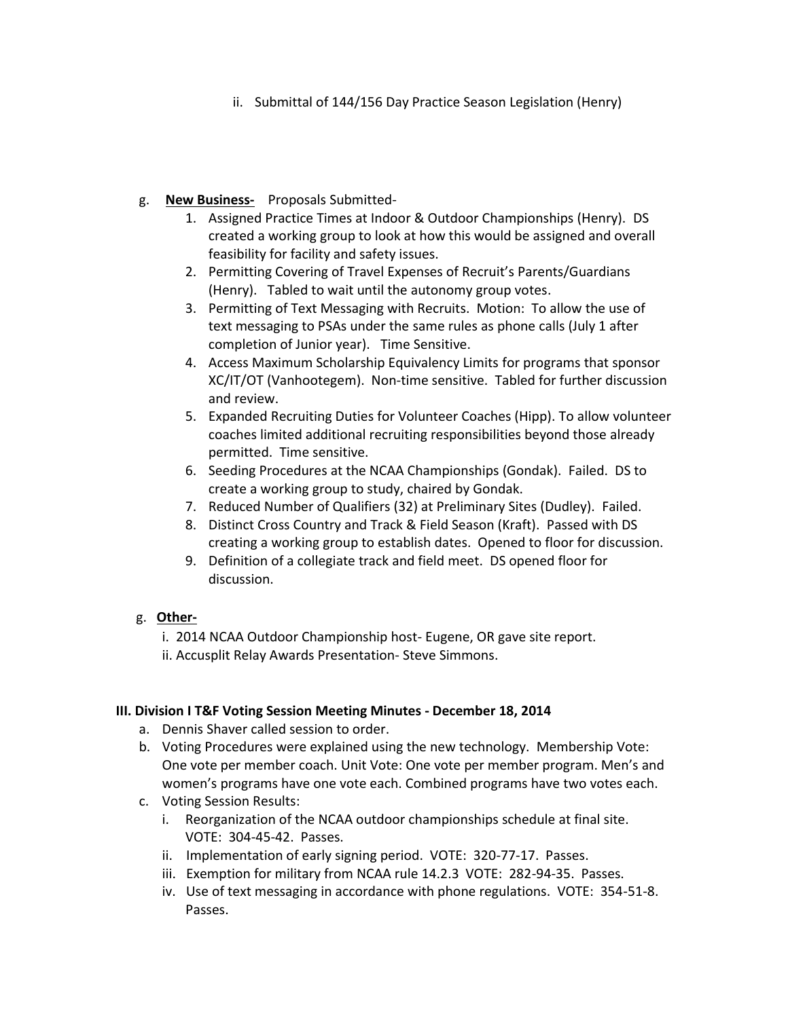ii. Submittal of 144/156 Day Practice Season Legislation (Henry)

### g. **New Business-** Proposals Submitted-

- 1. Assigned Practice Times at Indoor & Outdoor Championships (Henry). DS created a working group to look at how this would be assigned and overall feasibility for facility and safety issues.
- 2. Permitting Covering of Travel Expenses of Recruit's Parents/Guardians (Henry). Tabled to wait until the autonomy group votes.
- 3. Permitting of Text Messaging with Recruits. Motion: To allow the use of text messaging to PSAs under the same rules as phone calls (July 1 after completion of Junior year). Time Sensitive.
- 4. Access Maximum Scholarship Equivalency Limits for programs that sponsor XC/IT/OT (Vanhootegem). Non-time sensitive. Tabled for further discussion and review.
- 5. Expanded Recruiting Duties for Volunteer Coaches (Hipp). To allow volunteer coaches limited additional recruiting responsibilities beyond those already permitted. Time sensitive.
- 6. Seeding Procedures at the NCAA Championships (Gondak). Failed. DS to create a working group to study, chaired by Gondak.
- 7. Reduced Number of Qualifiers (32) at Preliminary Sites (Dudley). Failed.
- 8. Distinct Cross Country and Track & Field Season (Kraft). Passed with DS creating a working group to establish dates. Opened to floor for discussion.
- 9. Definition of a collegiate track and field meet. DS opened floor for discussion.

# g. **Other-**

- i. 2014 NCAA Outdoor Championship host- Eugene, OR gave site report.
- ii. Accusplit Relay Awards Presentation- Steve Simmons.

### **III. Division I T&F Voting Session Meeting Minutes - December 18, 2014**

- a. Dennis Shaver called session to order.
- b. Voting Procedures were explained using the new technology. Membership Vote: One vote per member coach. Unit Vote: One vote per member program. Men's and women's programs have one vote each. Combined programs have two votes each.
- c. Voting Session Results:
	- i. Reorganization of the NCAA outdoor championships schedule at final site. VOTE: 304-45-42. Passes.
	- ii. Implementation of early signing period. VOTE: 320-77-17. Passes.
	- iii. Exemption for military from NCAA rule 14.2.3 VOTE: 282-94-35. Passes.
	- iv. Use of text messaging in accordance with phone regulations. VOTE: 354-51-8. Passes.